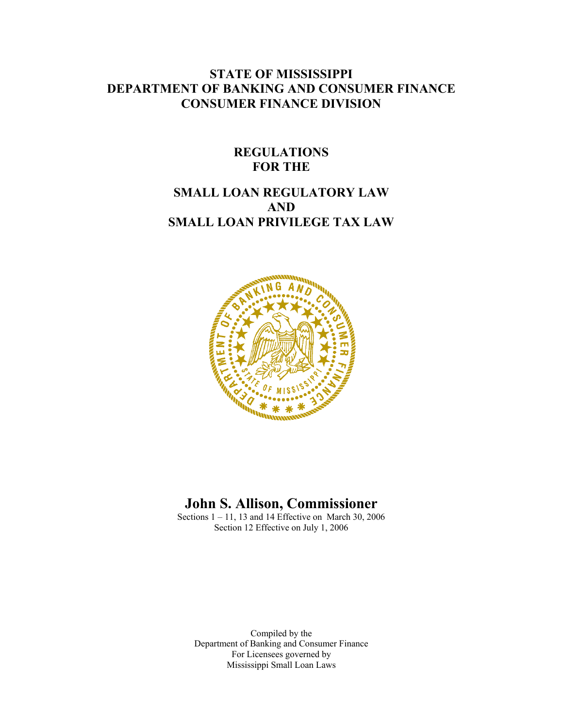# **STATE OF MISSISSIPPI DEPARTMENT OF BANKING AND CONSUMER FINANCE CONSUMER FINANCE DIVISION**

# **REGULATIONS FOR THE**

# **SMALL LOAN REGULATORY LAW AND SMALL LOAN PRIVILEGE TAX LAW**



# **John S. Allison, Commissioner**

Sections  $1 - 11$ , 13 and 14 Effective on March 30, 2006 Section 12 Effective on July 1, 2006

Compiled by the Department of Banking and Consumer Finance For Licensees governed by Mississippi Small Loan Laws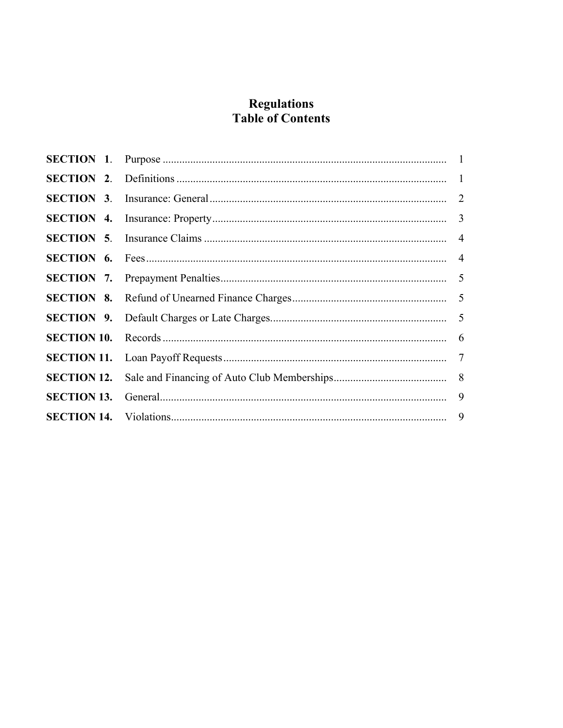# **Regulations Table of Contents**

| <b>SECTION 13.</b> |  |  |
|--------------------|--|--|
|                    |  |  |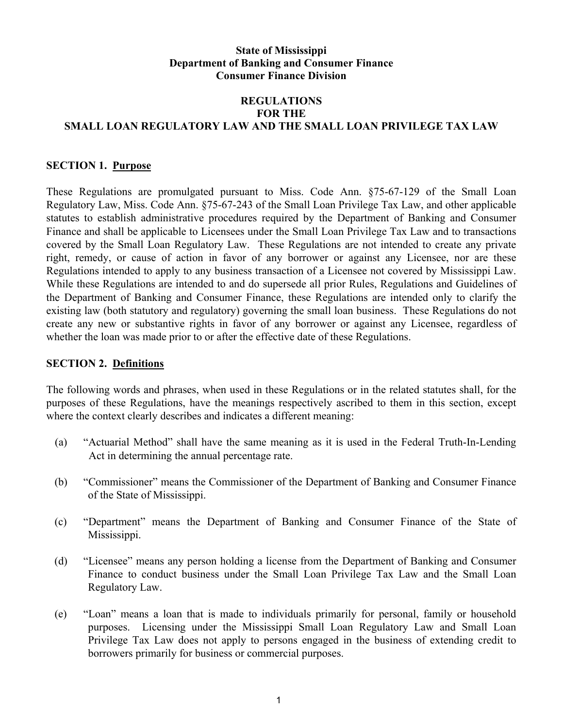#### **State of Mississippi Department of Banking and Consumer Finance Consumer Finance Division**

#### **REGULATIONS FOR THE SMALL LOAN REGULATORY LAW AND THE SMALL LOAN PRIVILEGE TAX LAW**

#### **SECTION 1. Purpose**

These Regulations are promulgated pursuant to Miss. Code Ann. §75-67-129 of the Small Loan Regulatory Law, Miss. Code Ann. §75-67-243 of the Small Loan Privilege Tax Law, and other applicable statutes to establish administrative procedures required by the Department of Banking and Consumer Finance and shall be applicable to Licensees under the Small Loan Privilege Tax Law and to transactions covered by the Small Loan Regulatory Law. These Regulations are not intended to create any private right, remedy, or cause of action in favor of any borrower or against any Licensee, nor are these Regulations intended to apply to any business transaction of a Licensee not covered by Mississippi Law. While these Regulations are intended to and do supersede all prior Rules, Regulations and Guidelines of the Department of Banking and Consumer Finance, these Regulations are intended only to clarify the existing law (both statutory and regulatory) governing the small loan business. These Regulations do not create any new or substantive rights in favor of any borrower or against any Licensee, regardless of whether the loan was made prior to or after the effective date of these Regulations.

#### **SECTION 2. Definitions**

The following words and phrases, when used in these Regulations or in the related statutes shall, for the purposes of these Regulations, have the meanings respectively ascribed to them in this section, except where the context clearly describes and indicates a different meaning:

- (a) "Actuarial Method" shall have the same meaning as it is used in the Federal Truth-In-Lending Act in determining the annual percentage rate.
- (b) "Commissioner" means the Commissioner of the Department of Banking and Consumer Finance of the State of Mississippi.
- (c) "Department" means the Department of Banking and Consumer Finance of the State of Mississippi.
- (d) "Licensee" means any person holding a license from the Department of Banking and Consumer Finance to conduct business under the Small Loan Privilege Tax Law and the Small Loan Regulatory Law.
- (e) "Loan" means a loan that is made to individuals primarily for personal, family or household purposes. Licensing under the Mississippi Small Loan Regulatory Law and Small Loan Privilege Tax Law does not apply to persons engaged in the business of extending credit to borrowers primarily for business or commercial purposes.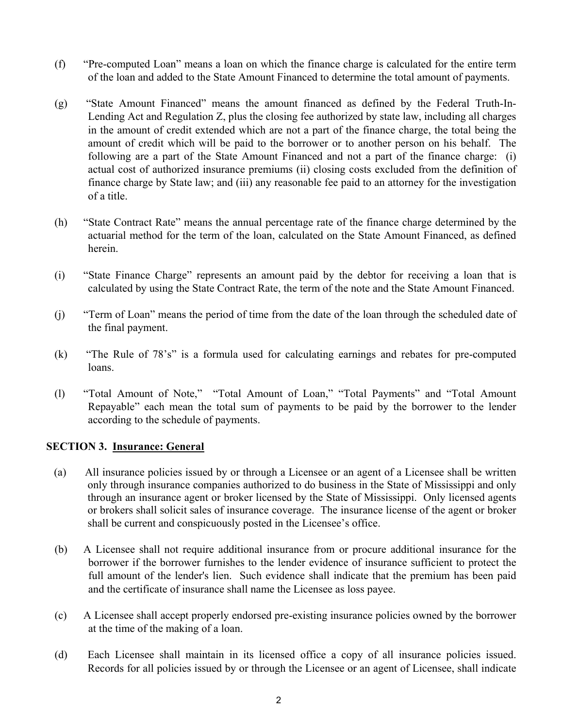- (f) "Pre-computed Loan" means a loan on which the finance charge is calculated for the entire term of the loan and added to the State Amount Financed to determine the total amount of payments.
- (g) "State Amount Financed" means the amount financed as defined by the Federal Truth-In-Lending Act and Regulation Z, plus the closing fee authorized by state law, including all charges in the amount of credit extended which are not a part of the finance charge, the total being the amount of credit which will be paid to the borrower or to another person on his behalf. The following are a part of the State Amount Financed and not a part of the finance charge: (i) actual cost of authorized insurance premiums (ii) closing costs excluded from the definition of finance charge by State law; and (iii) any reasonable fee paid to an attorney for the investigation of a title.
- (h) "State Contract Rate" means the annual percentage rate of the finance charge determined by the actuarial method for the term of the loan, calculated on the State Amount Financed, as defined herein.
- (i) "State Finance Charge" represents an amount paid by the debtor for receiving a loan that is calculated by using the State Contract Rate, the term of the note and the State Amount Financed.
- (j) "Term of Loan" means the period of time from the date of the loan through the scheduled date of the final payment.
- (k) "The Rule of 78's" is a formula used for calculating earnings and rebates for pre-computed loans.
- (l) "Total Amount of Note," "Total Amount of Loan," "Total Payments" and "Total Amount Repayable" each mean the total sum of payments to be paid by the borrower to the lender according to the schedule of payments.

#### **SECTION 3. Insurance: General**

- (a) All insurance policies issued by or through a Licensee or an agent of a Licensee shall be written only through insurance companies authorized to do business in the State of Mississippi and only through an insurance agent or broker licensed by the State of Mississippi. Only licensed agents or brokers shall solicit sales of insurance coverage. The insurance license of the agent or broker shall be current and conspicuously posted in the Licensee's office.
- (b) A Licensee shall not require additional insurance from or procure additional insurance for the borrower if the borrower furnishes to the lender evidence of insurance sufficient to protect the full amount of the lender's lien. Such evidence shall indicate that the premium has been paid and the certificate of insurance shall name the Licensee as loss payee.
- (c) A Licensee shall accept properly endorsed pre-existing insurance policies owned by the borrower at the time of the making of a loan.
- (d) Each Licensee shall maintain in its licensed office a copy of all insurance policies issued. Records for all policies issued by or through the Licensee or an agent of Licensee, shall indicate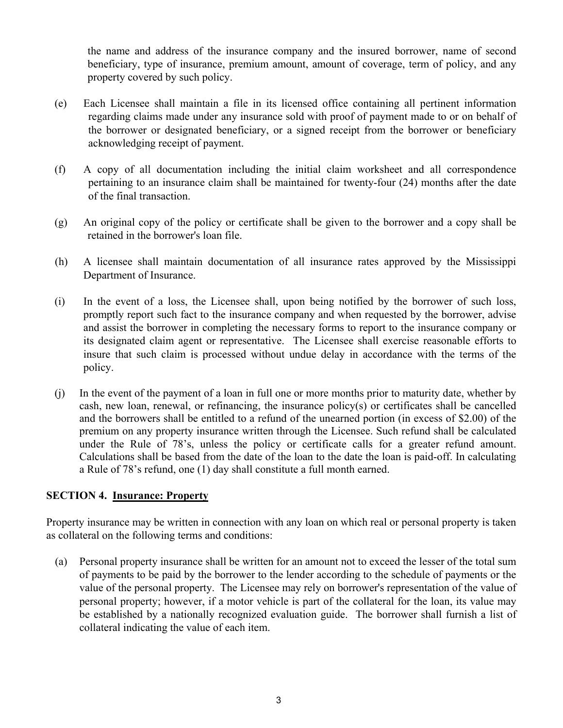the name and address of the insurance company and the insured borrower, name of second beneficiary, type of insurance, premium amount, amount of coverage, term of policy, and any property covered by such policy.

- (e) Each Licensee shall maintain a file in its licensed office containing all pertinent information regarding claims made under any insurance sold with proof of payment made to or on behalf of the borrower or designated beneficiary, or a signed receipt from the borrower or beneficiary acknowledging receipt of payment.
- (f) A copy of all documentation including the initial claim worksheet and all correspondence pertaining to an insurance claim shall be maintained for twenty-four (24) months after the date of the final transaction.
- (g) An original copy of the policy or certificate shall be given to the borrower and a copy shall be retained in the borrower's loan file.
- (h) A licensee shall maintain documentation of all insurance rates approved by the Mississippi Department of Insurance.
- (i) In the event of a loss, the Licensee shall, upon being notified by the borrower of such loss, promptly report such fact to the insurance company and when requested by the borrower, advise and assist the borrower in completing the necessary forms to report to the insurance company or its designated claim agent or representative. The Licensee shall exercise reasonable efforts to insure that such claim is processed without undue delay in accordance with the terms of the policy.
- (j) In the event of the payment of a loan in full one or more months prior to maturity date, whether by cash, new loan, renewal, or refinancing, the insurance policy(s) or certificates shall be cancelled and the borrowers shall be entitled to a refund of the unearned portion (in excess of \$2.00) of the premium on any property insurance written through the Licensee. Such refund shall be calculated under the Rule of 78's, unless the policy or certificate calls for a greater refund amount. Calculations shall be based from the date of the loan to the date the loan is paid-off. In calculating a Rule of 78's refund, one (1) day shall constitute a full month earned.

#### **SECTION 4. Insurance: Property**

Property insurance may be written in connection with any loan on which real or personal property is taken as collateral on the following terms and conditions:

 (a) Personal property insurance shall be written for an amount not to exceed the lesser of the total sum of payments to be paid by the borrower to the lender according to the schedule of payments or the value of the personal property. The Licensee may rely on borrower's representation of the value of personal property; however, if a motor vehicle is part of the collateral for the loan, its value may be established by a nationally recognized evaluation guide. The borrower shall furnish a list of collateral indicating the value of each item.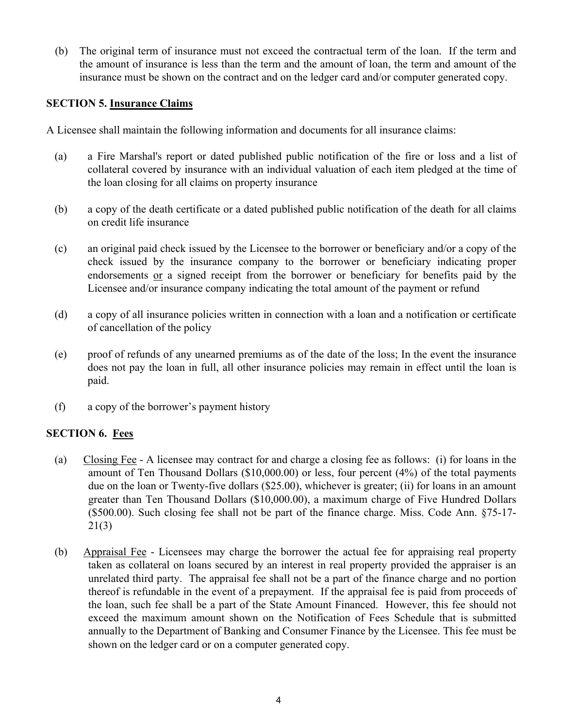(b) The original term of insurance must not exceed the contractual term of the loan. If the term and the amount of insurance is less than the term and the amount of loan, the term and amount of the insurance must be shown on the contract and on the ledger card and/or computer generated copy.

#### **SECTION 5. Insurance Claims**

A Licensee shall maintain the following information and documents for all insurance claims:

- (a) a Fire Marshal's report or dated published public notification of the fire or loss and a list of collateral covered by insurance with an individual valuation of each item pledged at the time of the loan closing for all claims on property insurance
- (b) a copy of the death certificate or a dated published public notification of the death for all claims on credit life insurance
- (c) an original paid check issued by the Licensee to the borrower or beneficiary and/or a copy of the check issued by the insurance company to the borrower or beneficiary indicating proper endorsements or a signed receipt from the borrower or beneficiary for benefits paid by the Licensee and/or insurance company indicating the total amount of the payment or refund
- (d) a copy of all insurance policies written in connection with a loan and a notification or certificate of cancellation of the policy
- (e) proof of refunds of any unearned premiums as of the date of the loss; In the event the insurance does not pay the loan in full, all other insurance policies may remain in effect until the loan is paid.
- (f) a copy of the borrower's payment history

#### **SECTION 6. Fees**

- (a) Closing Fee A licensee may contract for and charge a closing fee as follows: (i) for loans in the amount of Ten Thousand Dollars (\$10,000.00) or less, four percent (4%) of the total payments due on the loan or Twenty-five dollars (\$25.00), whichever is greater; (ii) for loans in an amount greater than Ten Thousand Dollars (\$10,000.00), a maximum charge of Five Hundred Dollars (\$500.00). Such closing fee shall not be part of the finance charge. Miss. Code Ann. §75-17- 21(3)
- (b) Appraisal Fee Licensees may charge the borrower the actual fee for appraising real property taken as collateral on loans secured by an interest in real property provided the appraiser is an unrelated third party. The appraisal fee shall not be a part of the finance charge and no portion thereof is refundable in the event of a prepayment. If the appraisal fee is paid from proceeds of the loan, such fee shall be a part of the State Amount Financed. However, this fee should not exceed the maximum amount shown on the Notification of Fees Schedule that is submitted annually to the Department of Banking and Consumer Finance by the Licensee. This fee must be shown on the ledger card or on a computer generated copy.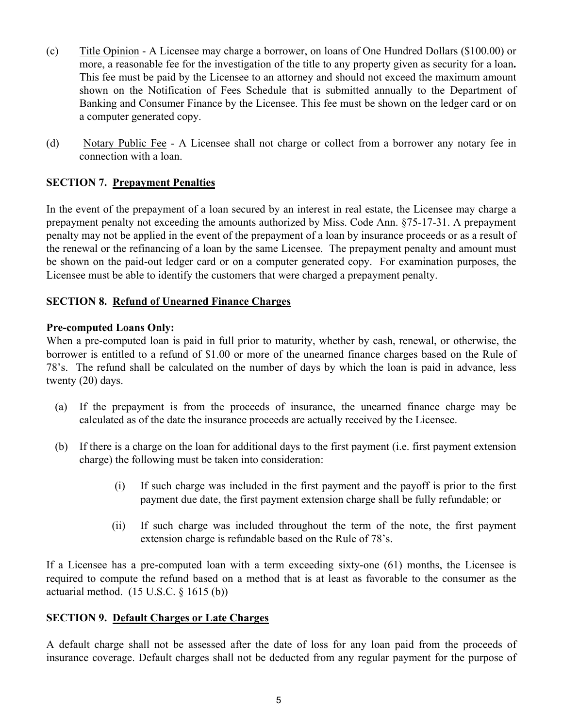- (c) Title Opinion A Licensee may charge a borrower, on loans of One Hundred Dollars (\$100.00) or more, a reasonable fee for the investigation of the title to any property given as security for a loan**.**  This fee must be paid by the Licensee to an attorney and should not exceed the maximum amount shown on the Notification of Fees Schedule that is submitted annually to the Department of Banking and Consumer Finance by the Licensee. This fee must be shown on the ledger card or on a computer generated copy.
- (d) Notary Public Fee A Licensee shall not charge or collect from a borrower any notary fee in connection with a loan.

## **SECTION 7. Prepayment Penalties**

In the event of the prepayment of a loan secured by an interest in real estate, the Licensee may charge a prepayment penalty not exceeding the amounts authorized by Miss. Code Ann. §75-17-31. A prepayment penalty may not be applied in the event of the prepayment of a loan by insurance proceeds or as a result of the renewal or the refinancing of a loan by the same Licensee. The prepayment penalty and amount must be shown on the paid-out ledger card or on a computer generated copy. For examination purposes, the Licensee must be able to identify the customers that were charged a prepayment penalty.

#### **SECTION 8. Refund of Unearned Finance Charges**

#### **Pre-computed Loans Only:**

When a pre-computed loan is paid in full prior to maturity, whether by cash, renewal, or otherwise, the borrower is entitled to a refund of \$1.00 or more of the unearned finance charges based on the Rule of 78's. The refund shall be calculated on the number of days by which the loan is paid in advance, less twenty (20) days.

- (a) If the prepayment is from the proceeds of insurance, the unearned finance charge may be calculated as of the date the insurance proceeds are actually received by the Licensee.
- (b) If there is a charge on the loan for additional days to the first payment (i.e. first payment extension charge) the following must be taken into consideration:
	- (i) If such charge was included in the first payment and the payoff is prior to the first payment due date, the first payment extension charge shall be fully refundable; or
	- (ii) If such charge was included throughout the term of the note, the first payment extension charge is refundable based on the Rule of 78's.

If a Licensee has a pre-computed loan with a term exceeding sixty-one (61) months, the Licensee is required to compute the refund based on a method that is at least as favorable to the consumer as the actuarial method.  $(15$  U.S.C.  $\S$  1615 $(b)$ )

#### **SECTION 9. Default Charges or Late Charges**

A default charge shall not be assessed after the date of loss for any loan paid from the proceeds of insurance coverage. Default charges shall not be deducted from any regular payment for the purpose of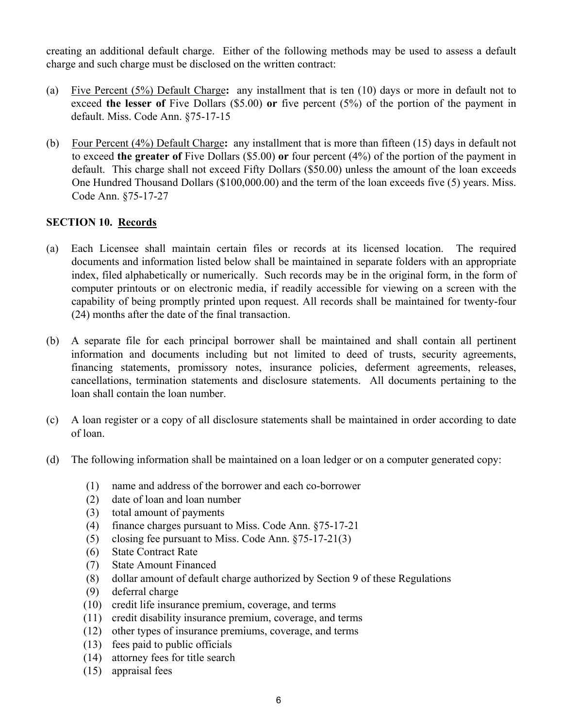creating an additional default charge. Either of the following methods may be used to assess a default charge and such charge must be disclosed on the written contract:

- (a) Five Percent (5%) Default Charge**:** any installment that is ten (10) days or more in default not to exceed **the lesser of** Five Dollars (\$5.00) **or** five percent (5%) of the portion of the payment in default. Miss. Code Ann. §75-17-15
- (b) Four Percent (4%) Default Charge**:** any installment that is more than fifteen (15) days in default not to exceed **the greater of** Five Dollars (\$5.00) **or** four percent (4%) of the portion of the payment in default. This charge shall not exceed Fifty Dollars (\$50.00) unless the amount of the loan exceeds One Hundred Thousand Dollars (\$100,000.00) and the term of the loan exceeds five (5) years. Miss. Code Ann. §75-17-27

## **SECTION 10. Records**

- (a) Each Licensee shall maintain certain files or records at its licensed location. The required documents and information listed below shall be maintained in separate folders with an appropriate index, filed alphabetically or numerically. Such records may be in the original form, in the form of computer printouts or on electronic media, if readily accessible for viewing on a screen with the capability of being promptly printed upon request. All records shall be maintained for twenty-four (24) months after the date of the final transaction.
- (b) A separate file for each principal borrower shall be maintained and shall contain all pertinent information and documents including but not limited to deed of trusts, security agreements, financing statements, promissory notes, insurance policies, deferment agreements, releases, cancellations, termination statements and disclosure statements. All documents pertaining to the loan shall contain the loan number.
- (c) A loan register or a copy of all disclosure statements shall be maintained in order according to date of loan.
- (d) The following information shall be maintained on a loan ledger or on a computer generated copy:
	- (1) name and address of the borrower and each co-borrower
	- (2) date of loan and loan number
	- (3) total amount of payments
	- (4) finance charges pursuant to Miss. Code Ann. §75-17-21
	- (5) closing fee pursuant to Miss. Code Ann. §75-17-21(3)
	- (6) State Contract Rate
	- (7) State Amount Financed
	- (8) dollar amount of default charge authorized by Section 9 of these Regulations
	- (9) deferral charge
	- (10) credit life insurance premium, coverage, and terms
	- (11) credit disability insurance premium, coverage, and terms
	- (12) other types of insurance premiums, coverage, and terms
	- (13) fees paid to public officials
	- (14) attorney fees for title search
	- (15) appraisal fees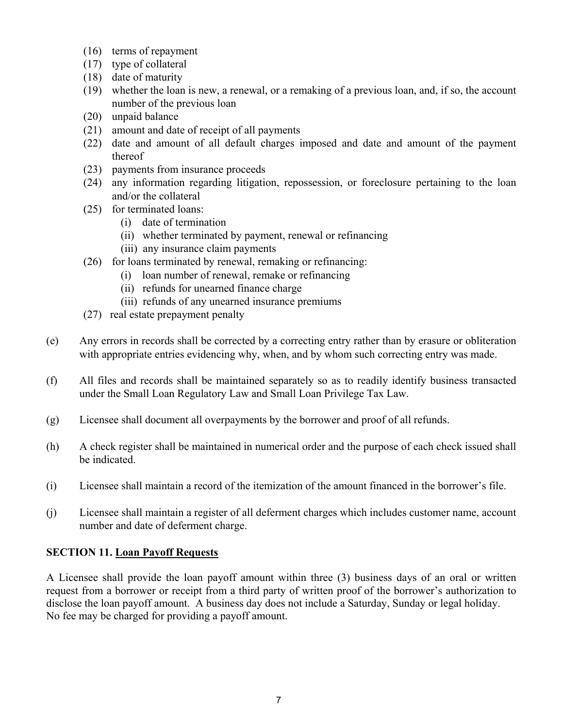- (16) terms of repayment
- (17) type of collateral
- (18) date of maturity
- (19) whether the loan is new, a renewal, or a remaking of a previous loan, and, if so, the account number of the previous loan
- (20) unpaid balance
- (21) amount and date of receipt of all payments
- (22) date and amount of all default charges imposed and date and amount of the payment thereof
- (23) payments from insurance proceeds
- (24) any information regarding litigation, repossession, or foreclosure pertaining to the loan and/or the collateral
- (25) for terminated loans:
	- (i) date of termination
	- (ii) whether terminated by payment, renewal or refinancing
	- (iii) any insurance claim payments
- (26) for loans terminated by renewal, remaking or refinancing:
	- (i) loan number of renewal, remake or refinancing
	- (ii) refunds for unearned finance charge
	- (iii) refunds of any unearned insurance premiums
- (27) real estate prepayment penalty
- (e) Any errors in records shall be corrected by a correcting entry rather than by erasure or obliteration with appropriate entries evidencing why, when, and by whom such correcting entry was made.
- (f) All files and records shall be maintained separately so as to readily identify business transacted under the Small Loan Regulatory Law and Small Loan Privilege Tax Law.
- (g) Licensee shall document all overpayments by the borrower and proof of all refunds.
- (h) A check register shall be maintained in numerical order and the purpose of each check issued shall be indicated.
- (i) Licensee shall maintain a record of the itemization of the amount financed in the borrower's file.
- (j) Licensee shall maintain a register of all deferment charges which includes customer name, account number and date of deferment charge.

# **SECTION 11. Loan Payoff Requests**

A Licensee shall provide the loan payoff amount within three (3) business days of an oral or written request from a borrower or receipt from a third party of written proof of the borrower's authorization to disclose the loan payoff amount. A business day does not include a Saturday, Sunday or legal holiday. No fee may be charged for providing a payoff amount.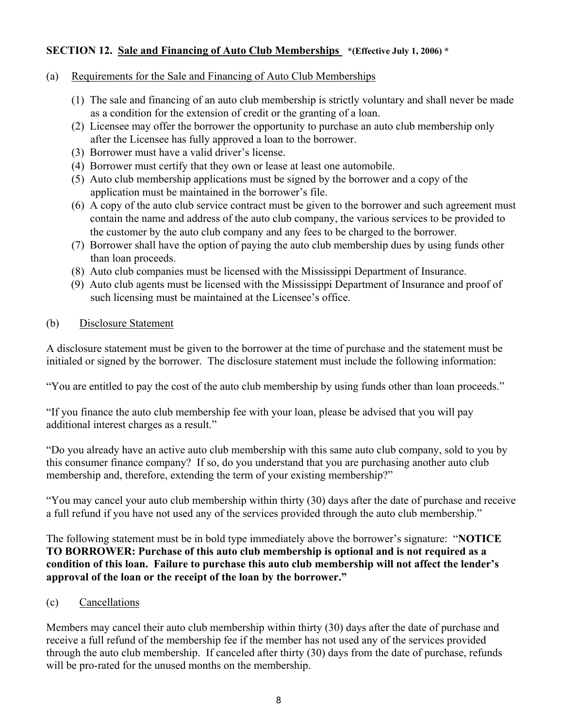## **SECTION 12. Sale and Financing of Auto Club Memberships \*(Effective July 1, 2006) \***

#### (a) Requirements for the Sale and Financing of Auto Club Memberships

- (1) The sale and financing of an auto club membership is strictly voluntary and shall never be made as a condition for the extension of credit or the granting of a loan.
- (2) Licensee may offer the borrower the opportunity to purchase an auto club membership only after the Licensee has fully approved a loan to the borrower.
- (3) Borrower must have a valid driver's license.
- (4) Borrower must certify that they own or lease at least one automobile.
- (5) Auto club membership applications must be signed by the borrower and a copy of the application must be maintained in the borrower's file.
- (6) A copy of the auto club service contract must be given to the borrower and such agreement must contain the name and address of the auto club company, the various services to be provided to the customer by the auto club company and any fees to be charged to the borrower.
- (7) Borrower shall have the option of paying the auto club membership dues by using funds other than loan proceeds.
- (8) Auto club companies must be licensed with the Mississippi Department of Insurance.
- (9) Auto club agents must be licensed with the Mississippi Department of Insurance and proof of such licensing must be maintained at the Licensee's office.

#### (b) Disclosure Statement

A disclosure statement must be given to the borrower at the time of purchase and the statement must be initialed or signed by the borrower. The disclosure statement must include the following information:

"You are entitled to pay the cost of the auto club membership by using funds other than loan proceeds."

"If you finance the auto club membership fee with your loan, please be advised that you will pay additional interest charges as a result."

"Do you already have an active auto club membership with this same auto club company, sold to you by this consumer finance company? If so, do you understand that you are purchasing another auto club membership and, therefore, extending the term of your existing membership?"

"You may cancel your auto club membership within thirty (30) days after the date of purchase and receive a full refund if you have not used any of the services provided through the auto club membership."

The following statement must be in bold type immediately above the borrower's signature: "**NOTICE TO BORROWER: Purchase of this auto club membership is optional and is not required as a condition of this loan. Failure to purchase this auto club membership will not affect the lender's approval of the loan or the receipt of the loan by the borrower."**

#### (c) Cancellations

Members may cancel their auto club membership within thirty (30) days after the date of purchase and receive a full refund of the membership fee if the member has not used any of the services provided through the auto club membership. If canceled after thirty (30) days from the date of purchase, refunds will be pro-rated for the unused months on the membership.